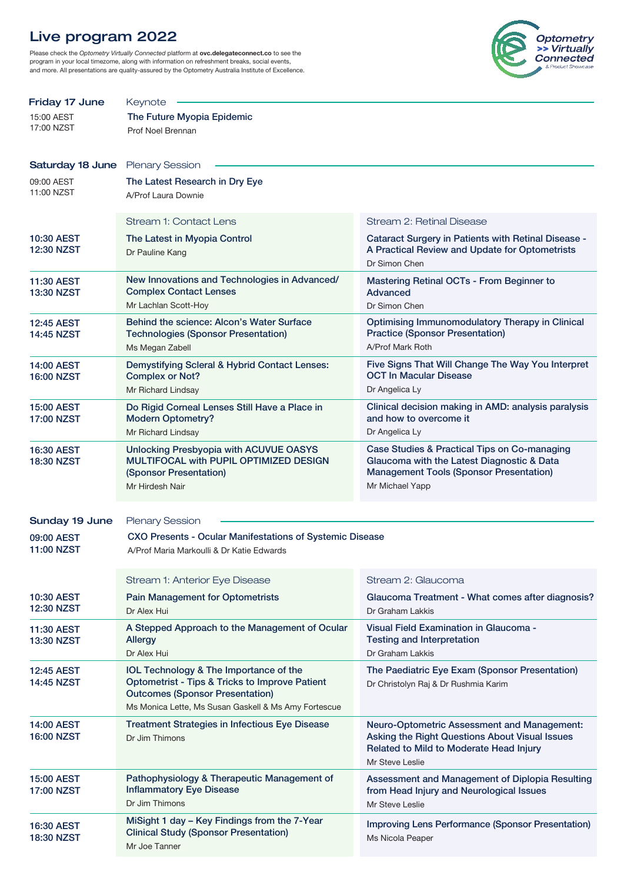# Live program 2022

Please check the Optometry Virtually Connected platform at ovc.delegateconnect.co to see the program in your local timezome, along with information on refreshment breaks, social events, and more. All presentations are quality-assured by the Optometry Australia Institute of Excellence.



| Friday 17 June                         | Keynote                                                                                  |                                                                                             |  |  |  |
|----------------------------------------|------------------------------------------------------------------------------------------|---------------------------------------------------------------------------------------------|--|--|--|
| 15:00 AEST                             | The Future Myopia Epidemic                                                               |                                                                                             |  |  |  |
| 17:00 NZST                             | Prof Noel Brennan                                                                        |                                                                                             |  |  |  |
|                                        |                                                                                          |                                                                                             |  |  |  |
| Saturday 18 June                       | <b>Plenary Session</b>                                                                   |                                                                                             |  |  |  |
| 09:00 AEST                             | The Latest Research in Dry Eye                                                           |                                                                                             |  |  |  |
| 11:00 NZST                             | A/Prof Laura Downie                                                                      |                                                                                             |  |  |  |
|                                        |                                                                                          |                                                                                             |  |  |  |
|                                        | Stream 1: Contact Lens                                                                   | Stream 2: Retinal Disease                                                                   |  |  |  |
| 10:30 AEST                             | The Latest in Myopia Control                                                             | Cataract Surgery in Patients with Retinal Disease -                                         |  |  |  |
| <b>12:30 NZST</b>                      | Dr Pauline Kang                                                                          | A Practical Review and Update for Optometrists<br>Dr Simon Chen                             |  |  |  |
|                                        | New Innovations and Technologies in Advanced/                                            |                                                                                             |  |  |  |
| 11:30 AEST<br><b>13:30 NZST</b>        | <b>Complex Contact Lenses</b>                                                            | <b>Mastering Retinal OCTs - From Beginner to</b><br>Advanced                                |  |  |  |
|                                        | Mr Lachlan Scott-Hoy                                                                     | Dr Simon Chen                                                                               |  |  |  |
| <b>12:45 AEST</b>                      | Behind the science: Alcon's Water Surface                                                | <b>Optimising Immunomodulatory Therapy in Clinical</b>                                      |  |  |  |
| <b>14:45 NZST</b>                      | <b>Technologies (Sponsor Presentation)</b>                                               | <b>Practice (Sponsor Presentation)</b>                                                      |  |  |  |
|                                        | Ms Megan Zabell                                                                          | A/Prof Mark Roth                                                                            |  |  |  |
| <b>14:00 AEST</b>                      | Demystifying Scleral & Hybrid Contact Lenses:                                            | Five Signs That Will Change The Way You Interpret                                           |  |  |  |
| <b>16:00 NZST</b>                      | <b>Complex or Not?</b>                                                                   | <b>OCT In Macular Disease</b>                                                               |  |  |  |
|                                        | Mr Richard Lindsay                                                                       | Dr Angelica Ly                                                                              |  |  |  |
| <b>15:00 AEST</b><br><b>17:00 NZST</b> | Do Rigid Corneal Lenses Still Have a Place in                                            | Clinical decision making in AMD: analysis paralysis<br>and how to overcome it               |  |  |  |
|                                        | <b>Modern Optometry?</b><br>Mr Richard Lindsay                                           | Dr Angelica Ly                                                                              |  |  |  |
|                                        |                                                                                          | Case Studies & Practical Tips on Co-managing                                                |  |  |  |
| <b>16:30 AEST</b><br><b>18:30 NZST</b> | Unlocking Presbyopia with ACUVUE OASYS<br>MULTIFOCAL with PUPIL OPTIMIZED DESIGN         | Glaucoma with the Latest Diagnostic & Data                                                  |  |  |  |
|                                        | (Sponsor Presentation)                                                                   | <b>Management Tools (Sponsor Presentation)</b>                                              |  |  |  |
|                                        | Mr Hirdesh Nair                                                                          | Mr Michael Yapp                                                                             |  |  |  |
|                                        |                                                                                          |                                                                                             |  |  |  |
| Sunday 19 June                         | <b>Plenary Session</b>                                                                   |                                                                                             |  |  |  |
| 09:00 AEST                             | <b>CXO Presents - Ocular Manifestations of Systemic Disease</b>                          |                                                                                             |  |  |  |
| <b>11:00 NZST</b>                      | A/Prof Maria Markoulli & Dr Katie Edwards                                                |                                                                                             |  |  |  |
|                                        |                                                                                          |                                                                                             |  |  |  |
|                                        | Stream 1: Anterior Eye Disease                                                           | Stream 2: Glaucoma                                                                          |  |  |  |
| 10:30 AEST                             | <b>Pain Management for Optometrists</b>                                                  | Glaucoma Treatment - What comes after diagnosis?                                            |  |  |  |
| <b>12:30 NZST</b>                      | Dr Alex Hui                                                                              | Dr Graham Lakkis                                                                            |  |  |  |
| 11:30 AEST                             | A Stepped Approach to the Management of Ocular                                           | Visual Field Examination in Glaucoma -                                                      |  |  |  |
| <b>13:30 NZST</b>                      | <b>Allergy</b>                                                                           | <b>Testing and Interpretation</b>                                                           |  |  |  |
|                                        | Dr Alex Hui                                                                              | Dr Graham Lakkis                                                                            |  |  |  |
| <b>12:45 AEST</b><br><b>14:45 NZST</b> | IOL Technology & The Importance of the<br>Optometrist - Tips & Tricks to Improve Patient | The Paediatric Eye Exam (Sponsor Presentation)                                              |  |  |  |
|                                        | <b>Outcomes (Sponsor Presentation)</b>                                                   | Dr Christolyn Raj & Dr Rushmia Karim                                                        |  |  |  |
|                                        | Ms Monica Lette, Ms Susan Gaskell & Ms Amy Fortescue                                     |                                                                                             |  |  |  |
| <b>14:00 AEST</b>                      | <b>Treatment Strategies in Infectious Eye Disease</b>                                    | Neuro-Optometric Assessment and Management:                                                 |  |  |  |
| <b>16:00 NZST</b>                      | Dr Jim Thimons                                                                           | Asking the Right Questions About Visual Issues                                              |  |  |  |
|                                        |                                                                                          | Related to Mild to Moderate Head Injury                                                     |  |  |  |
|                                        |                                                                                          | Mr Steve Leslie                                                                             |  |  |  |
| <b>15:00 AEST</b><br><b>17:00 NZST</b> | Pathophysiology & Therapeutic Management of<br><b>Inflammatory Eye Disease</b>           | Assessment and Management of Diplopia Resulting<br>from Head Injury and Neurological Issues |  |  |  |
|                                        | Dr Jim Thimons                                                                           | Mr Steve Leslie                                                                             |  |  |  |
|                                        | MiSight 1 day - Key Findings from the 7-Year                                             |                                                                                             |  |  |  |
| <b>16:30 AEST</b>                      | <b>Clinical Study (Sponsor Presentation)</b>                                             | <b>Improving Lens Performance (Sponsor Presentation)</b>                                    |  |  |  |
| 18:30 NZST                             | Mr Joe Tanner                                                                            | Ms Nicola Peaper                                                                            |  |  |  |